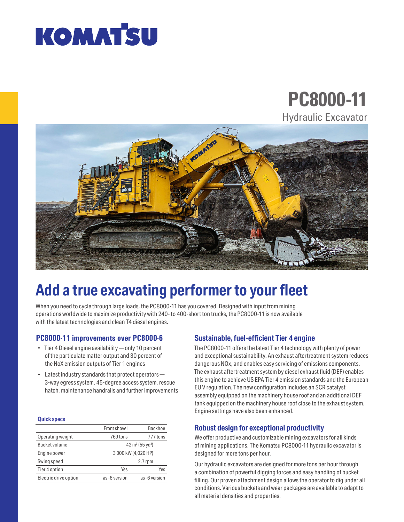# **KOMAT'SU**

### **PC8000-11** Hydraulic Excavator



## **Add a true excavating performer to your fleet**

When you need to cycle through large loads, the PC8000-11 has you covered. Designed with input from mining operations worldwide to maximize productivity with 240- to 400-short ton trucks, the PC8000-11 is now available with the latest technologies and clean T4 diesel engines.

### **PC8000-11 improvements over PC8000-6**

- Tier 4 Diesel engine availability only 10 percent of the particulate matter output and 30 percent of the NoX emission outputs of Tier 1 engines
- Latest industry standards that protect operators 3-way egress system, 45-degree access system, rescue hatch, maintenance handrails and further improvements

#### **Quick specs**

|                       | Front shovel                            | <b>Backhoe</b> |
|-----------------------|-----------------------------------------|----------------|
| Operating weight      | 769 tons                                | 777 tons       |
| <b>Bucket volume</b>  | 42 m <sup>3</sup> (55 yd <sup>3</sup> ) |                |
| Engine power          | 3 000 kW (4,020 HP)                     |                |
| Swing speed           | $2.7$ rpm                               |                |
| Tier 4 option         | Yes                                     | Yes            |
| Electric drive option | as-6 version                            | as -6 version  |

### **Sustainable, fuel-efficient Tier 4 engine**

The PC8000-11 offers the latest Tier 4 technology with plenty of power and exceptional sustainability. An exhaust aftertreatment system reduces dangerous NOx, and enables easy servicing of emissions components. The exhaust aftertreatment system by diesel exhaust fluid (DEF) enables this engine to achieve US EPA Tier 4 emission standards and the European EU V regulation. The new configuration includes an SCR catalyst assembly equipped on the machinery house roof and an additional DEF tank equipped on the machinery house roof close to the exhaust system. Engine settings have also been enhanced.

### **Robust design for exceptional productivity**

We offer productive and customizable mining excavators for all kinds of mining applications. The Komatsu PC8000-11 hydraulic excavator is designed for more tons per hour.

Our hydraulic excavators are designed for more tons per hour through a combination of powerful digging forces and easy handling of bucket filling. Our proven attachment design allows the operator to dig under all conditions. Various buckets and wear packages are available to adapt to all material densities and properties.